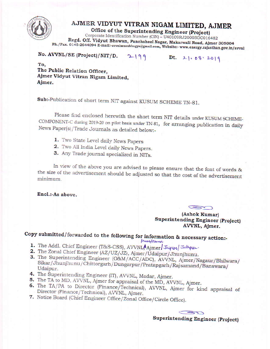

# AJMER VIDYUT VITRAN NIGAM LIMITED, AJMER

Office of the Superintending Engineer (Project)

Corporate Identification Number (CIN) - U40109RJ2000SGC016482 Regd. Off. Vidyut Bhawan, Panchsheel Nagar, Makarwali Road, Ajmer 305004 Ph./Fax. 0145-2644094 E-mail:-avvnlsesaubhagya@gmail.com, Website:- www.energy.rajasthan.gov.in/avvnl

No. AVVNL/SE (Project)/NIT/D.

 $2-199$  Dt. 21.08.2019

To, The Public Relation Officer, Ajmer Vidyut Vitran Nigam Limited, Ajmer.

Sub:-Publication of short term NIT against KUSUM SCHEME TN-81.

Please find enclosed herewith the short term NIT details under KUSUM SCHEME-COMPONENT-C during 2019-20 on pilot basis under TN-81, for arranging publication in daily News Paper(s)/Trade Journals as detailed below:-

- 1. Two State Level daily News Papers
- 2. Two All India Level daily News Papers.
- 3. Any Trade journal specialized in NITs.

In view of the above you are advised to please ensure that the font of words & the size of the advertisement should be adjusted so that the cost of the advertisement minimum.

Encl.:-As above.

(Ashok Kumar) Superintending Engineer (Project) AVVNL, Ajmer.

# Copy submitted/forwarded to the following for information & necessary action:-

- *Iswardsorval*
- 1. The Addl. Chief Engineer (T&S-CSS), AVVNL, Ajmer/Japure/Jodhpur.
- 2. The Zonal Chief Engineer (AZ/UZ/JZ), Ajmer/Udaipur/Jhunjhunu.
- 3. The Superintending Engineer (O&M/ACC/ADC), AVVNL, Ajmer/Nagaur/Bhilwara/ Sikar/Jhunjhunu/Chittorgarh/Dungarpur/Pratapgarh/Rajsamand/Banswara/ Udaipur.
- 4. The Superintending Engineer (IT), AVVNL, Madar, Ajmer.
- 5. The TA to MD, AVVNL, Ajmer for appraisal of the MD, AVVNL, Ajmer.
- 6. The TA/PA to Director (Finance/Technical), AVVNL, Ajmer for kind appraisal of Director (Finance/Technical), AVVNL, Ajmer.
- 7. Notice Board (Chief Engineer Office/Zonal Office/Circle Office).

 $\overline{\phantom{a}}$ Superintending Engineer (Project)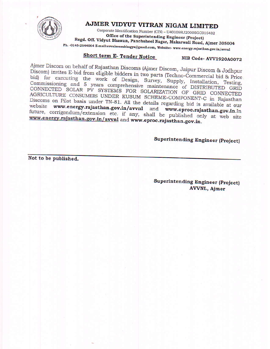

### AJMER VIDYUT VITRAN NIGAM LIMITED

Corporate Identification Number (CIN) - U40109RJ2000SGC016482 Office of the Superintending Engineer (Project) Regd. Off. Vidyut Bhawan, Panchsheel Nagar, Makarwali Road, Ajmer 305004

Ph. -0145-2644064 E-mail:avvnlsesaubhagya@gmail.com, Website:- www.energy.rajasthan.gov.in/avvnl

## **Short term E- Tender Notice**

### NIB Code- AVV1920A0072

Ajmer Discom on behalf of Rajasthan Discoms (Ajmer Discom, Jaipur Discom & Jodhpur Discom) invites E-bid from eligible bidders in two parts (Techno-Commercial bid & Price bid) for executing the work of Design, Survey, Supply, Installation, Testing, Commissioning and 5 years comprehensive maintenance of DISTRIBUTED GRID CONNECTED SOLAR PV SYSTEMS FOR SOLARIZATION OF GRID CONNECTED AGRICULTURE CONSUMERS UNDER KUSUM SCHEME-COMPONENT-C in Rajasthan Discoms on Pilot basis under TN-81. All the details regarding bid is available at our website www.energy.rajasthan.gov.in/avvnl and www.eproc.rajasthan.gov.in.In future, corrigendum/extension etc. if any, shall be published only at web site www.energy.rajasthan.gov.in/avvnl and www.eproc.rajasthan.gov.in.

### Superintending Engineer (Project)

Not to be published.

**Superintending Engineer (Project)** AVVNL, Ajmer